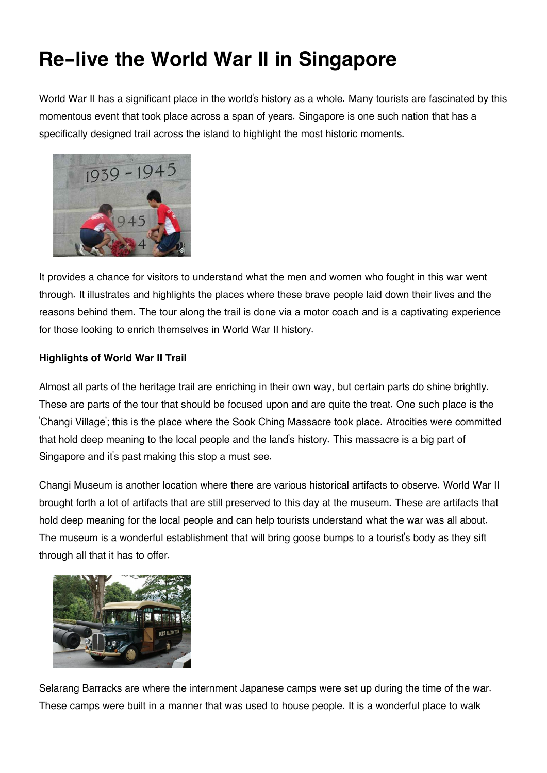## **Re-live the World War II in Singapore**

World War II has a significant place in the world's history as a whole. Many tourists are fascinated by this momentous event that took place across a span of years. Singapore is one such nation that has a specifically designed trail across the island to highlight the most historic moments.



It provides a chance for visitors to understand what the men and women who fought in this war went through. It illustrates and highlights the places where these brave people laid down their lives and the reasons behind them. The tour along the trail is done via a motor coach and is a captivating experience for those looking to enrich themselves in World War II history.

## **Highlights of World War II Trail**

Almost all parts of the heritage trail are enriching in their own way, but certain parts do shine brightly. These are parts of the tour that should be focused upon and are quite the treat. One such place is the 'Changi Village'; this is the place where the Sook Ching Massacre took place. Atrocities were committed that hold deep meaning to the local people and the land's history. This massacre is a big part of Singapore and it's past making this stop a must see.

Changi Museum is another location where there are various historical artifacts to observe. World War II brought forth a lot of artifacts that are still preserved to this day at the museum. These are artifacts that hold deep meaning for the local people and can help tourists understand what the war was all about. The museum is a wonderful establishment that will bring goose bumps to a tourist's body as they sift through all that it has to offer.



Selarang Barracks are where the internment Japanese camps were set up during the time of the war. These camps were built in a manner that was used to house people. It is a wonderful place to walk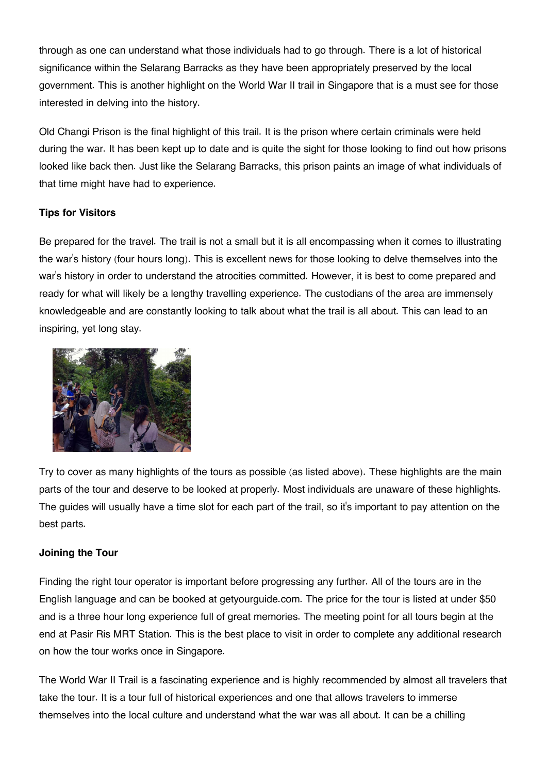through as one can understand what those individuals had to go through. There is a lot of historical significance within the Selarang Barracks as they have been appropriately preserved by the local government. This is another highlight on the World War II trail in Singapore that is a must see for those interested in delving into the history.

Old Changi Prison is the final highlight of this trail. It is the prison where certain criminals were held during the war. It has been kept up to date and is quite the sight for those looking to find out how prisons looked like back then. Just like the Selarang Barracks, this prison paints an image of what individuals of that time might have had to experience.

## **Tips for Visitors**

Be prepared for the travel. The trail is not a small but it is all encompassing when it comes to illustrating the war's history (four hours long). This is excellent news for those looking to delve themselves into the war's history in order to understand the atrocities committed. However, it is best to come prepared and ready for what will likely be a lengthy travelling experience. The custodians of the area are immensely knowledgeable and are constantly looking to talk about what the trail is all about. This can lead to an inspiring, yet long stay.



Try to cover as many highlights of the tours as possible (as listed above). These highlights are the main parts of the tour and deserve to be looked at properly. Most individuals are unaware of these highlights. The guides will usually have a time slot for each part of the trail, so it's important to pay attention on the best parts.

## **Joining the Tour**

Finding the right tour operator is important before progressing any further. All of the tours are in the English language and can be booked at getyourguide.com. The price for the tour is listed at under \$50 and is a three hour long experience full of great memories. The meeting point for all tours begin at the end at Pasir Ris MRT Station. This is the best place to visit in order to complete any additional research on how the tour works once in Singapore.

The World War II Trail is a fascinating experience and is highly recommended by almost all travelers that take the tour. It is a tour full of historical experiences and one that allows travelers to immerse themselves into the local culture and understand what the war was all about. It can be a chilling